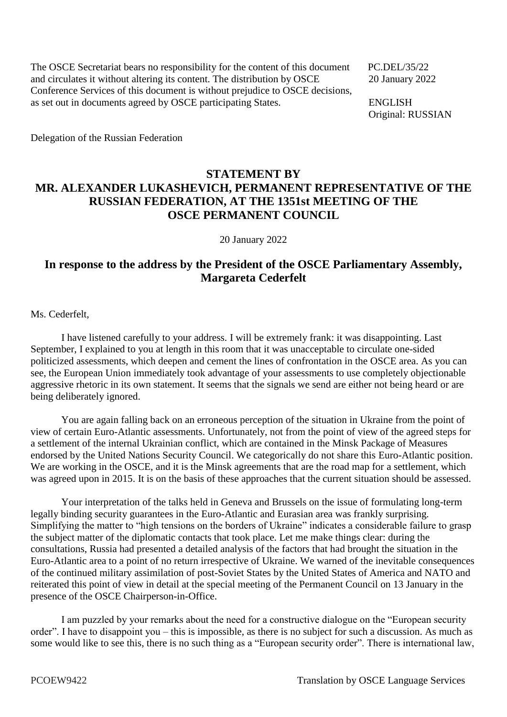The OSCE Secretariat bears no responsibility for the content of this document PC.DEL/35/22 and circulates it without altering its content. The distribution by OSCE 20 January 2022 Conference Services of this document is without prejudice to OSCE decisions, as set out in documents agreed by OSCE participating States. ENGLISH

Original: RUSSIAN

Delegation of the Russian Federation

## **STATEMENT BY MR. ALEXANDER LUKASHEVICH, PERMANENT REPRESENTATIVE OF THE RUSSIAN FEDERATION, AT THE 1351st MEETING OF THE OSCE PERMANENT COUNCIL**

20 January 2022

## **In response to the address by the President of the OSCE Parliamentary Assembly, Margareta Cederfelt**

Ms. Cederfelt,

I have listened carefully to your address. I will be extremely frank: it was disappointing. Last September, I explained to you at length in this room that it was unacceptable to circulate one-sided politicized assessments, which deepen and cement the lines of confrontation in the OSCE area. As you can see, the European Union immediately took advantage of your assessments to use completely objectionable aggressive rhetoric in its own statement. It seems that the signals we send are either not being heard or are being deliberately ignored.

You are again falling back on an erroneous perception of the situation in Ukraine from the point of view of certain Euro-Atlantic assessments. Unfortunately, not from the point of view of the agreed steps for a settlement of the internal Ukrainian conflict, which are contained in the Minsk Package of Measures endorsed by the United Nations Security Council. We categorically do not share this Euro-Atlantic position. We are working in the OSCE, and it is the Minsk agreements that are the road map for a settlement, which was agreed upon in 2015. It is on the basis of these approaches that the current situation should be assessed.

Your interpretation of the talks held in Geneva and Brussels on the issue of formulating long-term legally binding security guarantees in the Euro-Atlantic and Eurasian area was frankly surprising. Simplifying the matter to "high tensions on the borders of Ukraine" indicates a considerable failure to grasp the subject matter of the diplomatic contacts that took place. Let me make things clear: during the consultations, Russia had presented a detailed analysis of the factors that had brought the situation in the Euro-Atlantic area to a point of no return irrespective of Ukraine. We warned of the inevitable consequences of the continued military assimilation of post-Soviet States by the United States of America and NATO and reiterated this point of view in detail at the special meeting of the Permanent Council on 13 January in the presence of the OSCE Chairperson-in-Office.

I am puzzled by your remarks about the need for a constructive dialogue on the "European security order". I have to disappoint you – this is impossible, as there is no subject for such a discussion. As much as some would like to see this, there is no such thing as a "European security order". There is international law,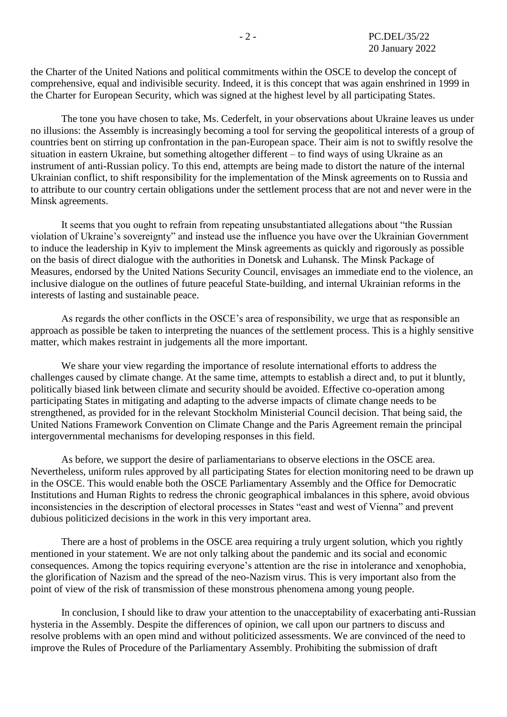the Charter of the United Nations and political commitments within the OSCE to develop the concept of comprehensive, equal and indivisible security. Indeed, it is this concept that was again enshrined in 1999 in the Charter for European Security, which was signed at the highest level by all participating States.

The tone you have chosen to take, Ms. Cederfelt, in your observations about Ukraine leaves us under no illusions: the Assembly is increasingly becoming a tool for serving the geopolitical interests of a group of countries bent on stirring up confrontation in the pan-European space. Their aim is not to swiftly resolve the situation in eastern Ukraine, but something altogether different – to find ways of using Ukraine as an instrument of anti-Russian policy. To this end, attempts are being made to distort the nature of the internal Ukrainian conflict, to shift responsibility for the implementation of the Minsk agreements on to Russia and to attribute to our country certain obligations under the settlement process that are not and never were in the Minsk agreements.

It seems that you ought to refrain from repeating unsubstantiated allegations about "the Russian violation of Ukraine's sovereignty" and instead use the influence you have over the Ukrainian Government to induce the leadership in Kyiv to implement the Minsk agreements as quickly and rigorously as possible on the basis of direct dialogue with the authorities in Donetsk and Luhansk. The Minsk Package of Measures, endorsed by the United Nations Security Council, envisages an immediate end to the violence, an inclusive dialogue on the outlines of future peaceful State-building, and internal Ukrainian reforms in the interests of lasting and sustainable peace.

As regards the other conflicts in the OSCE's area of responsibility, we urge that as responsible an approach as possible be taken to interpreting the nuances of the settlement process. This is a highly sensitive matter, which makes restraint in judgements all the more important.

We share your view regarding the importance of resolute international efforts to address the challenges caused by climate change. At the same time, attempts to establish a direct and, to put it bluntly, politically biased link between climate and security should be avoided. Effective co-operation among participating States in mitigating and adapting to the adverse impacts of climate change needs to be strengthened, as provided for in the relevant Stockholm Ministerial Council decision. That being said, the United Nations Framework Convention on Climate Change and the Paris Agreement remain the principal intergovernmental mechanisms for developing responses in this field.

As before, we support the desire of parliamentarians to observe elections in the OSCE area. Nevertheless, uniform rules approved by all participating States for election monitoring need to be drawn up in the OSCE. This would enable both the OSCE Parliamentary Assembly and the Office for Democratic Institutions and Human Rights to redress the chronic geographical imbalances in this sphere, avoid obvious inconsistencies in the description of electoral processes in States "east and west of Vienna" and prevent dubious politicized decisions in the work in this very important area.

There are a host of problems in the OSCE area requiring a truly urgent solution, which you rightly mentioned in your statement. We are not only talking about the pandemic and its social and economic consequences. Among the topics requiring everyone's attention are the rise in intolerance and xenophobia, the glorification of Nazism and the spread of the neo-Nazism virus. This is very important also from the point of view of the risk of transmission of these monstrous phenomena among young people.

In conclusion, I should like to draw your attention to the unacceptability of exacerbating anti-Russian hysteria in the Assembly. Despite the differences of opinion, we call upon our partners to discuss and resolve problems with an open mind and without politicized assessments. We are convinced of the need to improve the Rules of Procedure of the Parliamentary Assembly. Prohibiting the submission of draft